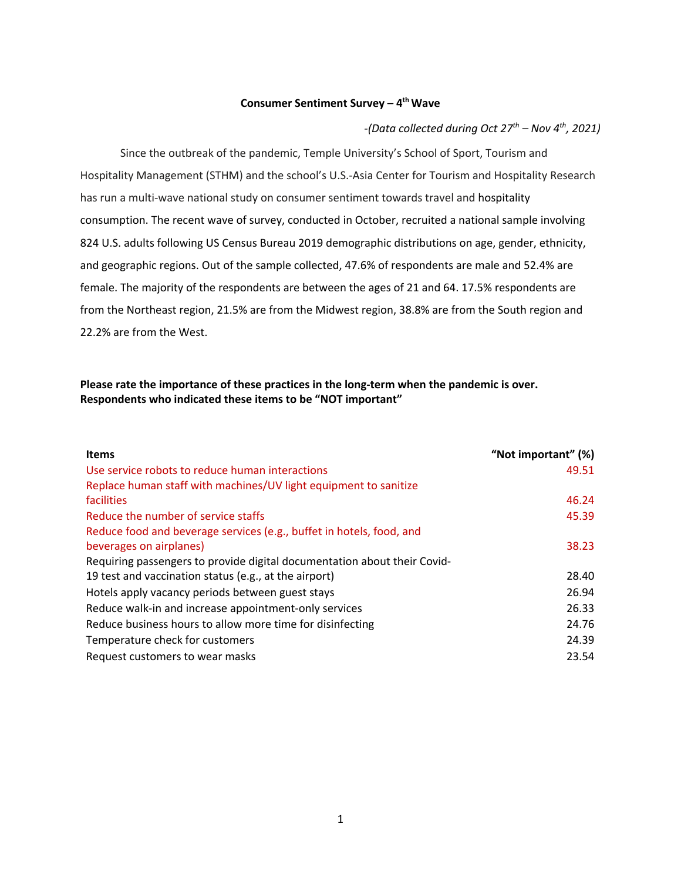#### **Consumer Sentiment Survey – 4th Wave**

*-(Data collected during Oct 27th – Nov 4th, 2021)*

Since the outbreak of the pandemic, Temple University's School of Sport, Tourism and Hospitality Management (STHM) and the school's U.S.-Asia Center for Tourism and Hospitality Research has run a multi-wave national study on consumer sentiment towards travel and hospitality consumption. The recent wave of survey, conducted in October, recruited a national sample involving 824 U.S. adults following US Census Bureau 2019 demographic distributions on age, gender, ethnicity, and geographic regions. Out of the sample collected, 47.6% of respondents are male and 52.4% are female. The majority of the respondents are between the ages of 21 and 64. 17.5% respondents are from the Northeast region, 21.5% are from the Midwest region, 38.8% are from the South region and 22.2% are from the West.

## **Please rate the importance of these practices in the long-term when the pandemic is over. Respondents who indicated these items to be "NOT important"**

| <b>Items</b>                                                             | "Not important" (%) |
|--------------------------------------------------------------------------|---------------------|
| Use service robots to reduce human interactions                          | 49.51               |
| Replace human staff with machines/UV light equipment to sanitize         |                     |
| facilities                                                               | 46.24               |
| Reduce the number of service staffs                                      | 45.39               |
| Reduce food and beverage services (e.g., buffet in hotels, food, and     |                     |
| beverages on airplanes)                                                  | 38.23               |
| Requiring passengers to provide digital documentation about their Covid- |                     |
| 19 test and vaccination status (e.g., at the airport)                    | 28.40               |
| Hotels apply vacancy periods between guest stays                         | 26.94               |
| Reduce walk-in and increase appointment-only services                    | 26.33               |
| Reduce business hours to allow more time for disinfecting                | 24.76               |
| Temperature check for customers                                          | 24.39               |
| Request customers to wear masks                                          | 23.54               |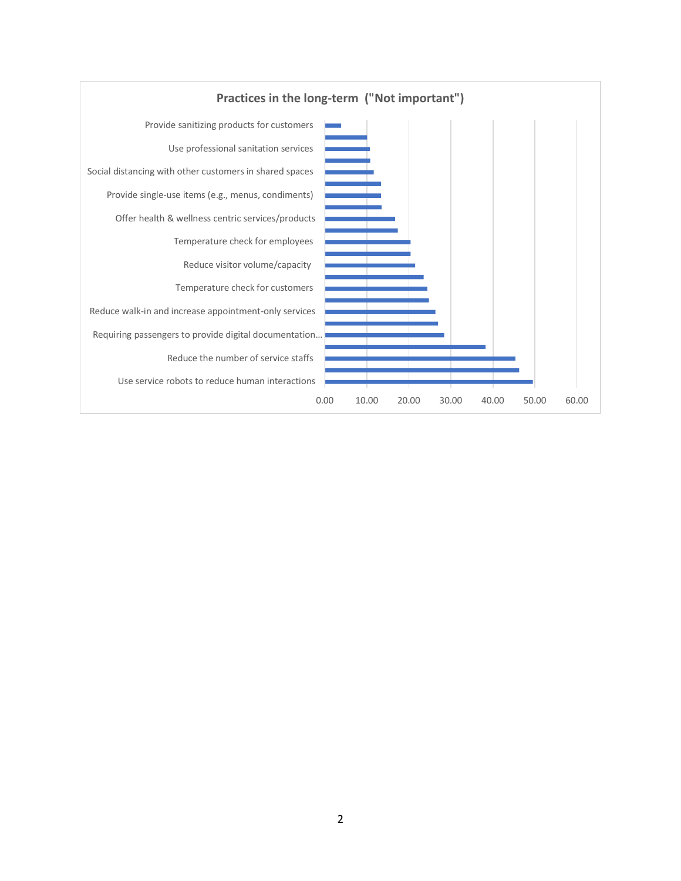

### 2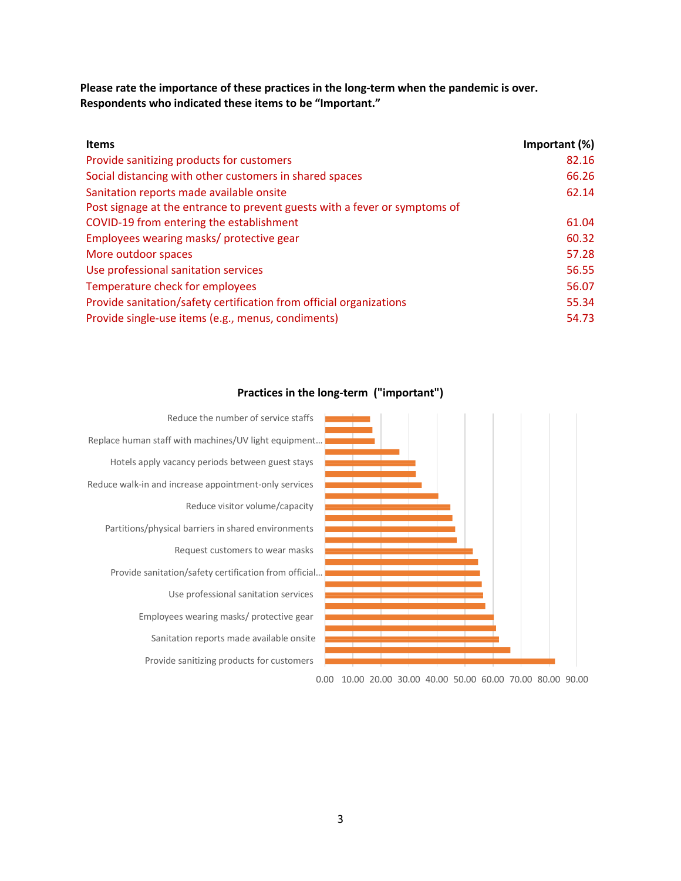**Please rate the importance of these practices in the long-term when the pandemic is over. Respondents who indicated these items to be "Important."**

| <b>Items</b>                                                               | Important (%) |
|----------------------------------------------------------------------------|---------------|
| Provide sanitizing products for customers                                  | 82.16         |
| Social distancing with other customers in shared spaces                    | 66.26         |
| Sanitation reports made available onsite                                   | 62.14         |
| Post signage at the entrance to prevent guests with a fever or symptoms of |               |
| COVID-19 from entering the establishment                                   | 61.04         |
| Employees wearing masks/ protective gear                                   | 60.32         |
| More outdoor spaces                                                        | 57.28         |
| Use professional sanitation services                                       | 56.55         |
| Temperature check for employees                                            | 56.07         |
| Provide sanitation/safety certification from official organizations        | 55.34         |
| Provide single-use items (e.g., menus, condiments)                         | 54.73         |



## **Practices in the long-term ("important")**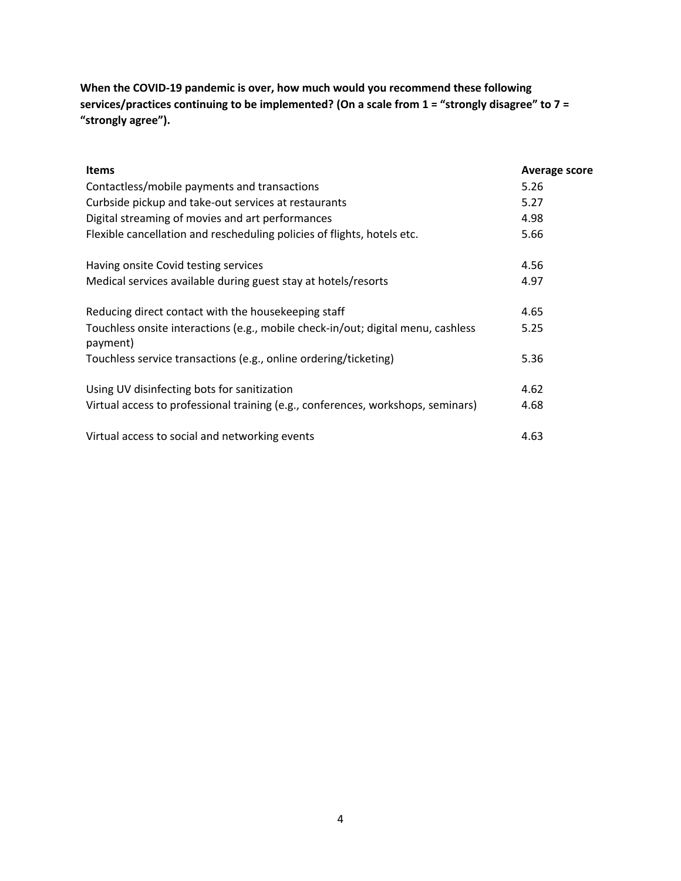**When the COVID-19 pandemic is over, how much would you recommend these following services/practices continuing to be implemented? (On a scale from 1 = "strongly disagree" to 7 = "strongly agree").** 

| <b>Items</b>                                                                                 | Average score |
|----------------------------------------------------------------------------------------------|---------------|
| Contactless/mobile payments and transactions                                                 | 5.26          |
| Curbside pickup and take-out services at restaurants                                         | 5.27          |
| Digital streaming of movies and art performances                                             | 4.98          |
| Flexible cancellation and rescheduling policies of flights, hotels etc.                      | 5.66          |
| Having onsite Covid testing services                                                         | 4.56          |
| Medical services available during guest stay at hotels/resorts                               | 4.97          |
| Reducing direct contact with the housekeeping staff                                          | 4.65          |
| Touchless onsite interactions (e.g., mobile check-in/out; digital menu, cashless<br>payment) | 5.25          |
| Touchless service transactions (e.g., online ordering/ticketing)                             | 5.36          |
| Using UV disinfecting bots for sanitization                                                  | 4.62          |
| Virtual access to professional training (e.g., conferences, workshops, seminars)             | 4.68          |
| Virtual access to social and networking events                                               | 4.63          |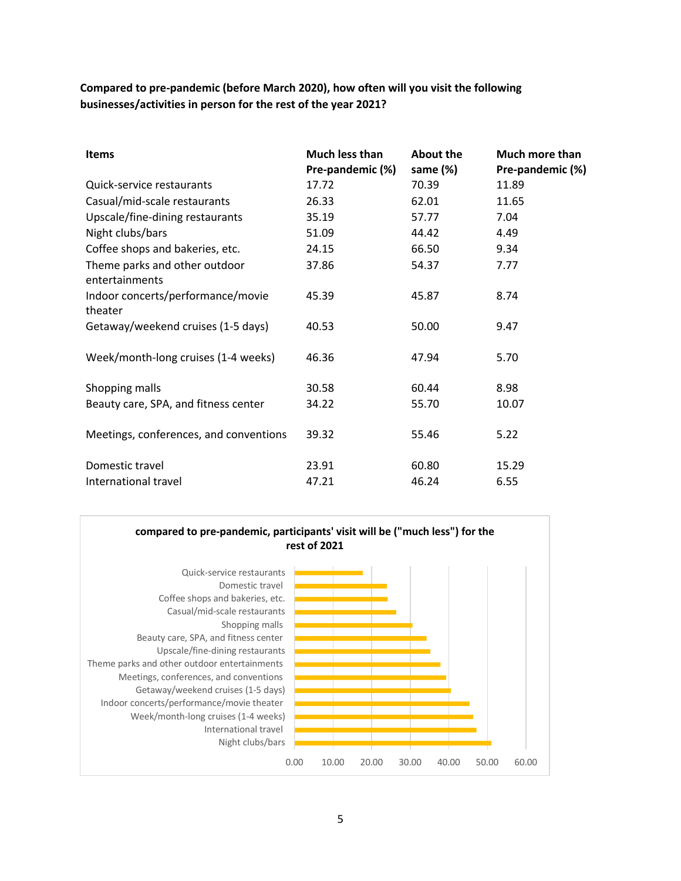**Compared to pre-pandemic (before March 2020), how often will you visit the following businesses/activities in person for the rest of the year 2021?**

| <b>Items</b>                                    | Much less than<br>Pre-pandemic (%) | <b>About the</b><br>same (%) | Much more than<br>Pre-pandemic (%) |
|-------------------------------------------------|------------------------------------|------------------------------|------------------------------------|
| Quick-service restaurants                       | 17.72                              | 70.39                        | 11.89                              |
| Casual/mid-scale restaurants                    | 26.33                              | 62.01                        | 11.65                              |
| Upscale/fine-dining restaurants                 | 35.19                              | 57.77                        | 7.04                               |
| Night clubs/bars                                | 51.09                              | 44.42                        | 4.49                               |
| Coffee shops and bakeries, etc.                 | 24.15                              | 66.50                        | 9.34                               |
| Theme parks and other outdoor<br>entertainments | 37.86                              | 54.37                        | 7.77                               |
| Indoor concerts/performance/movie               | 45.39                              | 45.87                        | 8.74                               |
| theater                                         |                                    |                              |                                    |
| Getaway/weekend cruises (1-5 days)              | 40.53                              | 50.00                        | 9.47                               |
| Week/month-long cruises (1-4 weeks)             | 46.36                              | 47.94                        | 5.70                               |
| Shopping malls                                  | 30.58                              | 60.44                        | 8.98                               |
| Beauty care, SPA, and fitness center            | 34.22                              | 55.70                        | 10.07                              |
| Meetings, conferences, and conventions          | 39.32                              | 55.46                        | 5.22                               |
| Domestic travel                                 | 23.91                              | 60.80                        | 15.29                              |
| International travel                            | 47.21                              | 46.24                        | 6.55                               |

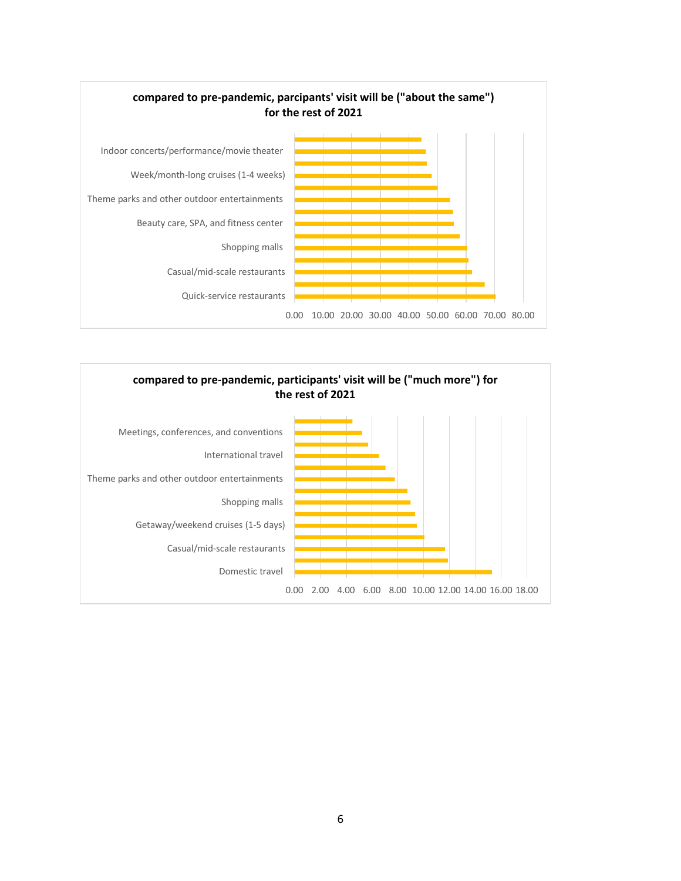

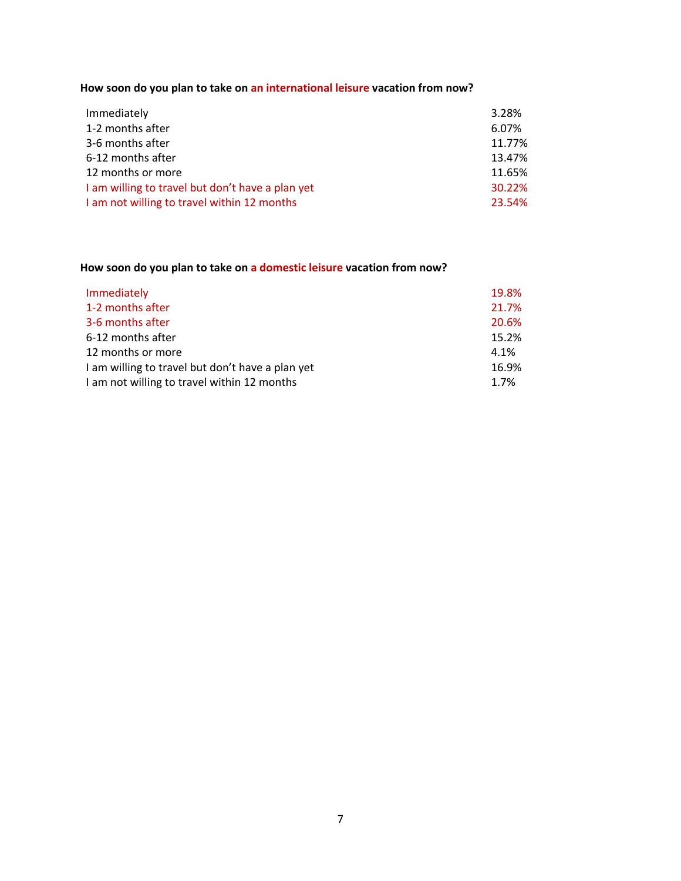**How soon do you plan to take on an international leisure vacation from now?**

| Immediately                                      | 3.28%  |
|--------------------------------------------------|--------|
| 1-2 months after                                 | 6.07%  |
| 3-6 months after                                 | 11.77% |
| 6-12 months after                                | 13.47% |
| 12 months or more                                | 11.65% |
| I am willing to travel but don't have a plan yet | 30.22% |
| I am not willing to travel within 12 months      | 23.54% |

# **How soon do you plan to take on a domestic leisure vacation from now?**

| Immediately                                      | 19.8% |
|--------------------------------------------------|-------|
| 1-2 months after                                 | 21.7% |
| 3-6 months after                                 | 20.6% |
| 6-12 months after                                | 15.2% |
| 12 months or more                                | 4.1%  |
| I am willing to travel but don't have a plan yet | 16.9% |
| I am not willing to travel within 12 months      | 1.7%  |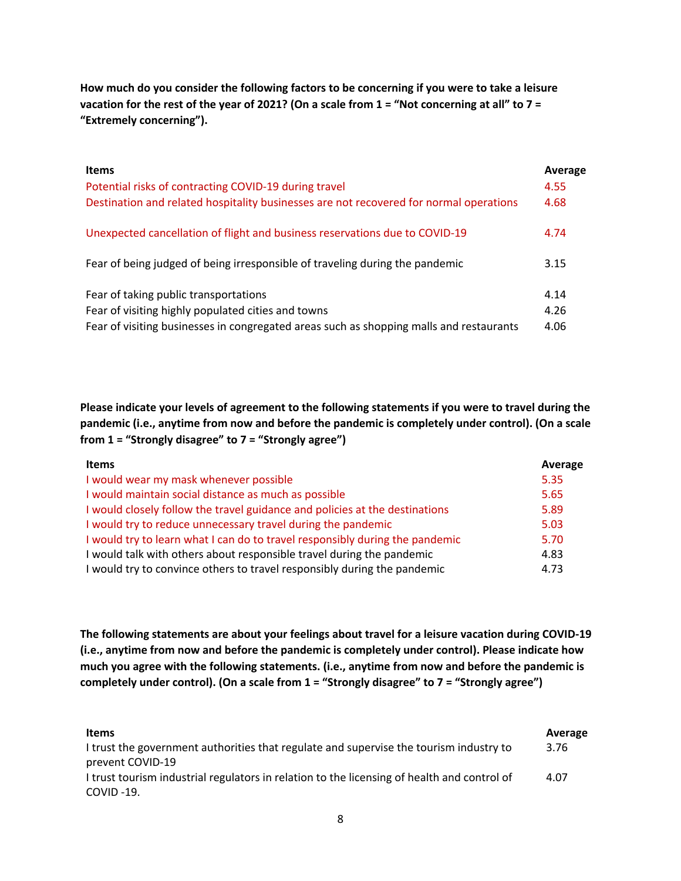**How much do you consider the following factors to be concerning if you were to take a leisure vacation for the rest of the year of 2021? (On a scale from 1 = "Not concerning at all" to 7 = "Extremely concerning").** 

| <b>Items</b>                                                                            | Average |
|-----------------------------------------------------------------------------------------|---------|
| Potential risks of contracting COVID-19 during travel                                   | 4.55    |
| Destination and related hospitality businesses are not recovered for normal operations  | 4.68    |
| Unexpected cancellation of flight and business reservations due to COVID-19             | 4.74    |
| Fear of being judged of being irresponsible of traveling during the pandemic            | 3.15    |
| Fear of taking public transportations                                                   | 4.14    |
| Fear of visiting highly populated cities and towns                                      | 4.26    |
| Fear of visiting businesses in congregated areas such as shopping malls and restaurants | 4.06    |

**Please indicate your levels of agreement to the following statements if you were to travel during the pandemic (i.e., anytime from now and before the pandemic is completely under control). (On a scale from 1 = "Strongly disagree" to 7 = "Strongly agree")**

| <b>Items</b>                                                                 | Average |
|------------------------------------------------------------------------------|---------|
| I would wear my mask whenever possible                                       | 5.35    |
| I would maintain social distance as much as possible                         | 5.65    |
| I would closely follow the travel guidance and policies at the destinations  | 5.89    |
| I would try to reduce unnecessary travel during the pandemic                 | 5.03    |
| I would try to learn what I can do to travel responsibly during the pandemic | 5.70    |
| I would talk with others about responsible travel during the pandemic        | 4.83    |
| I would try to convince others to travel responsibly during the pandemic     | 4.73    |

**The following statements are about your feelings about travel for a leisure vacation during COVID-19 (i.e., anytime from now and before the pandemic is completely under control). Please indicate how much you agree with the following statements. (i.e., anytime from now and before the pandemic is completely under control). (On a scale from 1 = "Strongly disagree" to 7 = "Strongly agree")**

| <b>Items</b>                                                                                | Average |
|---------------------------------------------------------------------------------------------|---------|
| I trust the government authorities that regulate and supervise the tourism industry to      | 3.76    |
| prevent COVID-19                                                                            |         |
| I trust tourism industrial regulators in relation to the licensing of health and control of | 4.07    |
| COVID -19.                                                                                  |         |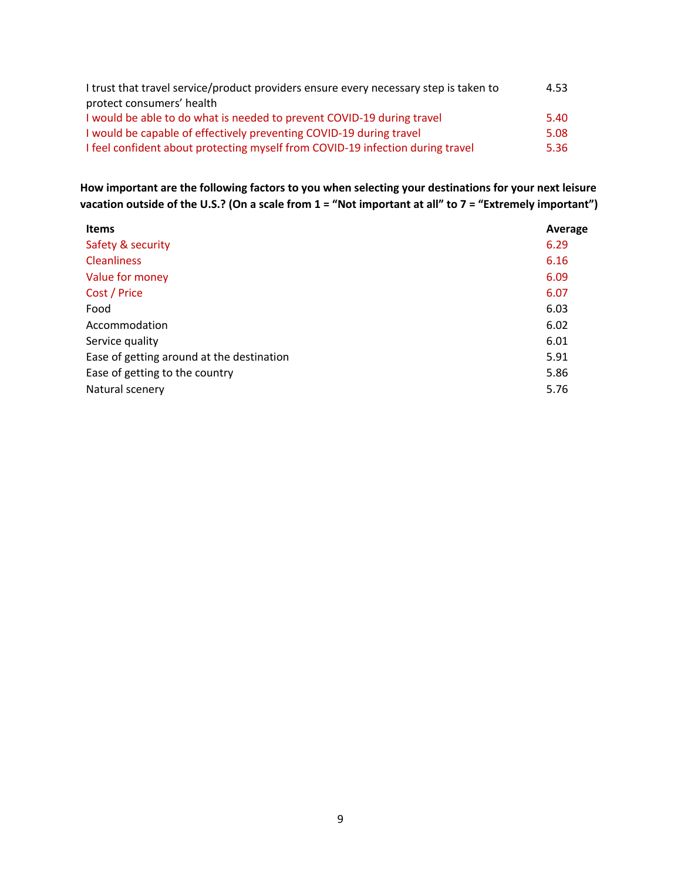| I trust that travel service/product providers ensure every necessary step is taken to | 4.53 |
|---------------------------------------------------------------------------------------|------|
| protect consumers' health                                                             |      |
| I would be able to do what is needed to prevent COVID-19 during travel                | 5.40 |
| I would be capable of effectively preventing COVID-19 during travel                   | 5.08 |
| I feel confident about protecting myself from COVID-19 infection during travel        | 5.36 |

**How important are the following factors to you when selecting your destinations for your next leisure vacation outside of the U.S.? (On a scale from 1 = "Not important at all" to 7 = "Extremely important")**

| <b>Items</b>                              | Average |
|-------------------------------------------|---------|
| Safety & security                         | 6.29    |
| <b>Cleanliness</b>                        | 6.16    |
| Value for money                           | 6.09    |
| Cost / Price                              | 6.07    |
| Food                                      | 6.03    |
| Accommodation                             | 6.02    |
| Service quality                           | 6.01    |
| Ease of getting around at the destination | 5.91    |
| Ease of getting to the country            | 5.86    |
| Natural scenery                           | 5.76    |